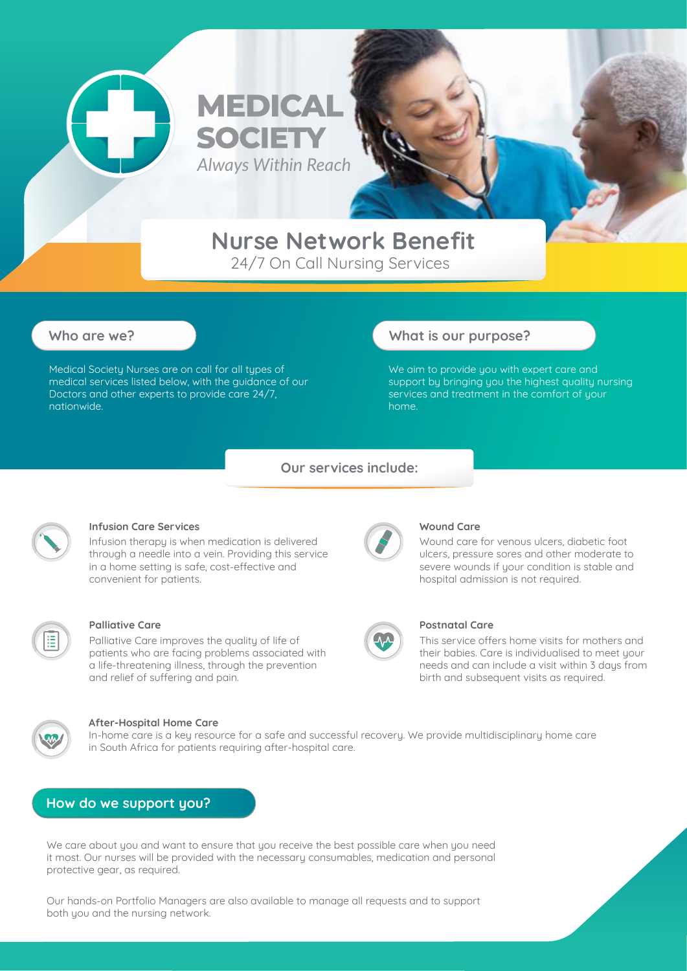

# **Nurse Network Benefit**

*Always Within Reach*

**MEDICAL** 

**SOCIET** 

24/7 On Call Nursing Services

Medical Society Nurses are on call for all types of medical services listed below, with the guidance of our Doctors and other experts to provide care 24/7, nationwide.

### **Who are we? What is our purpose?**

We aim to provide you with expert care and support by bringing you the highest quality nursing services and treatment in the comfort of your home.

#### **Our services include:**



#### **Infusion Care Services**

Infusion therapy is when medication is delivered through a needle into a vein. Providing this service in a home setting is safe, cost-effective and convenient for patients.



#### **Palliative Care**

Palliative Care improves the quality of life of patients who are facing problems associated with a life-threatening illness, through the prevention and relief of suffering and pain.



#### **After-Hospital Home Care**

In-home care is a key resource for a safe and successful recovery. We provide multidisciplinary home care in South Africa for patients requiring after-hospital care.

#### **How do we support you?**

We care about you and want to ensure that you receive the best possible care when you need it most. Our nurses will be provided with the necessary consumables, medication and personal protective gear, as required.

Our hands-on Portfolio Managers are also available to manage all requests and to support both you and the nursing network.



#### **Wound Care**

Wound care for venous ulcers, diabetic foot ulcers, pressure sores and other moderate to severe wounds if your condition is stable and hospital admission is not required.



#### **Postnatal Care**

This service offers home visits for mothers and their babies. Care is individualised to meet your needs and can include a visit within 3 days from birth and subsequent visits as required.